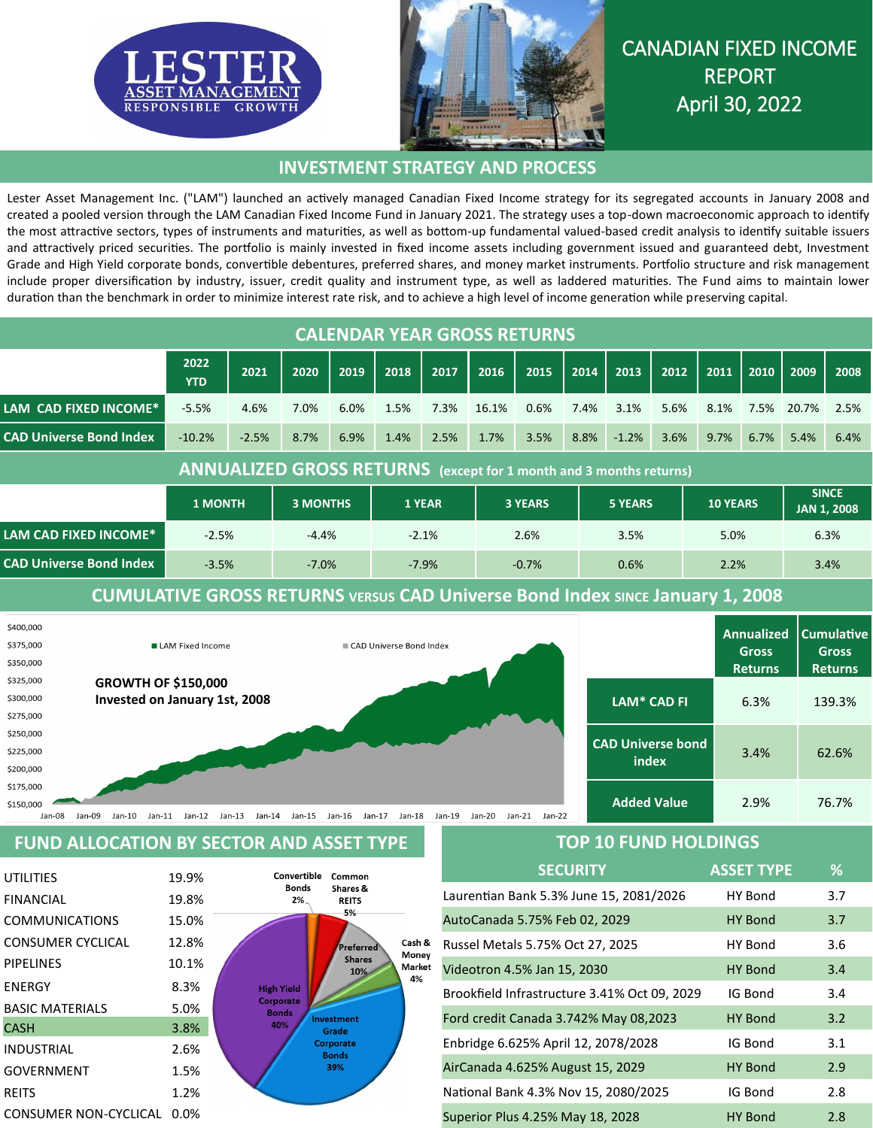



# CANADIAN FIXED INCOME REPORT April 30, 2022

### **INVESTMENT STRATEGY AND PROCESS**

Lester Asset Management Inc. ("LAM") launched an actively managed Canadian Fixed Income strategy for its segregated accounts in January 2008 and created a pooled version through the LAM Canadian Fixed Income Fund in January 2021. The strategy uses a top-down macroeconomic approach to identify the most attractive sectors, types of instruments and maturities, as well as bottom-up fundamental valued-based credit analysis to identify suitable issuers and attractively priced securities. The portfolio is mainly invested in fixed income assets including government issued and guaranteed debt, Investment Grade and High Yield corporate bonds, convertible debentures, preferred shares, and money market instruments. Portfolio structure and risk management include proper diversification by industry, issuer, credit quality and instrument type, as well as laddered maturities. The Fund aims to maintain lower duration than the benchmark in order to minimize interest rate risk, and to achieve a high level of income generation while preserving capital.

| <b>CALENDAR YEAR GROSS RETURNS</b>                                                   |                    |                                   |         |        |         |         |                |         |                |         |                 |      |      |                                    |      |
|--------------------------------------------------------------------------------------|--------------------|-----------------------------------|---------|--------|---------|---------|----------------|---------|----------------|---------|-----------------|------|------|------------------------------------|------|
|                                                                                      | 2022<br><b>YTD</b> | 2021                              | 2020    | 2019   | 2018    | 2017    | 2016           | 2015    | 2014           | 2013    | 2012            | 2011 | 2010 | 2009                               | 2008 |
| LAM CAD FIXED INCOME*                                                                | $-5.5%$            | 4.6%                              | 7.0%    | 6.0%   | 1.5%    | 7.3%    | 16.1%          | 0.6%    | 7.4%           | 3.1%    | 5.6%            | 8.1% | 7.5% | 20.7%                              | 2.5% |
| <b>CAD Universe Bond Index</b>                                                       | $-10.2%$           | $-2.5%$                           | 8.7%    | 6.9%   | 1.4%    | 2.5%    | 1.7%           | 3.5%    | 8.8%           | $-1.2%$ | 3.6%            | 9.7% | 6.7% | 5.4%                               | 6.4% |
| <b>ANNUALIZED GROSS RETURNS</b> (except for 1 month and 3 months returns)            |                    |                                   |         |        |         |         |                |         |                |         |                 |      |      |                                    |      |
|                                                                                      |                    | <b>1 MONTH</b><br><b>3 MONTHS</b> |         | 1 YEAR |         |         | <b>3 YEARS</b> |         | <b>5 YEARS</b> |         | <b>10 YEARS</b> |      |      | <b>SINCE</b><br><b>JAN 1, 2008</b> |      |
| <b>LAM CAD FIXED INCOME*</b>                                                         | $-2.5%$            |                                   | $-4.4%$ |        | $-2.1%$ |         |                | 2.6%    |                | 3.5%    |                 | 5.0% |      | 6.3%                               |      |
| <b>CAD Universe Bond Index</b><br>$-3.5%$                                            |                    |                                   | $-7.0%$ |        |         | $-7.9%$ |                | $-0.7%$ | 0.6%           |         |                 | 2.2% |      | 3.4%                               |      |
| <b>CUMULATIVE GROSS RETURNS VERSUS CAD Universe Bond Index SINCE January 1, 2008</b> |                    |                                   |         |        |         |         |                |         |                |         |                 |      |      |                                    |      |

| \$400,000<br>\$375,000<br>\$350,000 | LAM Fixed Income                                           | CAD Universe Bond Index                                                          |                          | <b>Annualized</b><br><b>Gross</b><br><b>Returns</b> | <b>Cumulative</b><br><b>Gross</b><br><b>Returns</b> |
|-------------------------------------|------------------------------------------------------------|----------------------------------------------------------------------------------|--------------------------|-----------------------------------------------------|-----------------------------------------------------|
| \$325,000                           | <b>GROWTH OF \$150,000</b>                                 |                                                                                  |                          |                                                     |                                                     |
| \$300,000                           | Invested on January 1st, 2008                              |                                                                                  | LAM* CAD FI              | 6.3%                                                | 139.3%                                              |
| \$275,000                           |                                                            |                                                                                  |                          |                                                     |                                                     |
| \$250,000                           |                                                            |                                                                                  |                          |                                                     |                                                     |
| \$225,000                           |                                                            |                                                                                  | <b>CAD Universe bond</b> | 3.4%                                                | 62.6%                                               |
| \$200,000                           |                                                            |                                                                                  | index                    |                                                     |                                                     |
| \$175,000                           |                                                            |                                                                                  |                          |                                                     |                                                     |
| \$150,000                           |                                                            |                                                                                  | <b>Added Value</b>       | 2.9%                                                | 76.7%                                               |
| Jan-08                              | Jan-09<br>Jan-10<br>$Jan-11$<br>Jan-14<br>Jan-12<br>Jan-13 | Jan-21<br>$Jan-15$<br>Jan-17<br>$Jan-18$<br>Jan-20<br>Jan-19<br>Jan-22<br>Jan-16 |                          |                                                     |                                                     |

#### **FUND ALLOCATION BY SECTOR AND ASSET TYPE**

| <b>UTILITIES</b>         | 19.9% | Convertible<br>Common                             |
|--------------------------|-------|---------------------------------------------------|
| <b>FINANCIAL</b>         | 19.8% | <b>Bonds</b><br>Shares &<br>$2\%$<br><b>REITS</b> |
| <b>COMMUNICATIONS</b>    | 15.0% | 5%                                                |
| <b>CONSUMER CYCLICAL</b> | 12.8% | Cash &<br>Preferred                               |
| <b>PIPELINES</b>         | 10.1% | Money<br><b>Shares</b><br>Market<br>10%           |
| <b>ENERGY</b>            | 8.3%  | 4%<br><b>High Yield</b>                           |
| <b>BASIC MATERIALS</b>   | 5.0%  | Corporate<br><b>Bonds</b>                         |
| <b>CASH</b>              | 3.8%  | <b>Investment</b><br>40%<br>Grade                 |
| <b>INDUSTRIAL</b>        | 2.6%  | <b>Corporate</b><br><b>Bonds</b>                  |
| <b>GOVERNMENT</b>        | 1.5%  | 39%                                               |
| <b>REITS</b>             | 1.2%  |                                                   |
| CONSUMER NON-CYCLICAL    | 0.0%  |                                                   |

## **TOP 10 FUND HOLDINGS**

| <b>SECURITY</b>                              | <b>ASSET TYPE</b> | %   |
|----------------------------------------------|-------------------|-----|
| Laurentian Bank 5.3% June 15, 2081/2026      | HY Bond           | 3.7 |
| AutoCanada 5.75% Feb 02, 2029                | HY Bond           | 3.7 |
| Russel Metals 5.75% Oct 27, 2025             | HY Bond           | 3.6 |
| Videotron 4.5% Jan 15, 2030                  | HY Bond           | 3.4 |
| Brookfield Infrastructure 3.41% Oct 09, 2029 | IG Bond           | 3.4 |
| Ford credit Canada 3.742% May 08,2023        | HY Bond           | 3.2 |
| Enbridge 6.625% April 12, 2078/2028          | IG Bond           | 3.1 |
| AirCanada 4.625% August 15, 2029             | <b>HY Bond</b>    | 2.9 |
| National Bank 4.3% Nov 15, 2080/2025         | IG Bond           | 2.8 |
| Superior Plus 4.25% May 18, 2028             | HY Bond           | 2.8 |